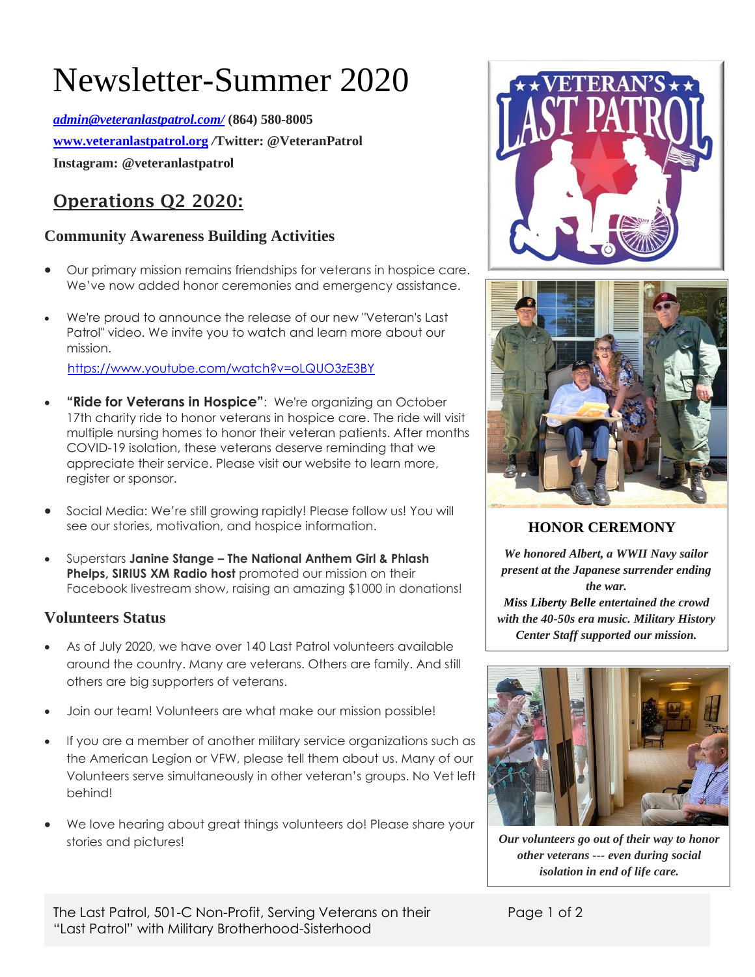# Newsletter-Summer 2020

*[admin@veteranlastpatrol.com/](mailto:admin@veteranlastpatrol.com/)* **(864) 580-8005 [www.veteranlastpatrol.org](http://www.veteranlastpatrol.org/)** */***Twitter: @VeteranPatrol Instagram: @veteranlastpatrol**

## **Operations Q2 2020:**

#### **Community Awareness Building Activities**

- Our primary mission remains friendships for veterans in hospice care. We've now added honor ceremonies and emergency assistance.
- We're proud to announce the release of our new "Veteran's Last Patrol" video. We invite you to watch and learn more about our mission.

<https://www.youtube.com/watch?v=oLQUO3zE3BY>

- **"Ride for Veterans in Hospice"**: We're organizing an October 17th charity ride to honor veterans in hospice care. The ride will visit multiple nursing homes to honor their veteran patients. After months COVID-19 isolation, these veterans deserve reminding that we appreciate their service. Please visit [our](http://www.veteranlastpatrol.org/) website to learn more, register or sponsor.
- Social Media: We're still growing rapidly! Please follow us! You will see our stories, motivation, and hospice information.
- Superstars **Janine Stange – The National Anthem Girl & Phlash Phelps, SIRIUS XM Radio host** promoted our mission on their Facebook livestream show, raising an amazing \$1000 in donations!

#### **Volunteers Status**

- As of July 2020, we have over 140 Last Patrol volunteers available around the country. Many are veterans. Others are family. And still others are big supporters of veterans.
- Join our team! Volunteers are what make our mission possible!
- If you are a member of another military service organizations such as the American Legion or VFW, please tell them about us. Many of our Volunteers serve simultaneously in other veteran's groups. No Vet left behind!
- We love hearing about great things volunteers do! Please share your stories and pictures!





**HONOR CEREMONY** 

*We honored Albert, a WWII Navy sailor present at the Japanese surrender ending the war. [Miss Liberty Belle](https://www.facebook.com/MsLibertyBelle/?fref=mentions&__xts__%5B0%5D=68.ARCA1cPaGlHRlQqP6rm2BiH3Cea8tGgRayhbBQSwO56QKzmiTNtFuWRglJckrYNrlwTIEA6vEFJLd8hvfNcoK1i7T2grWJFqMev5JErYqhMFSRMJNxg1LpOQ8KC0PGhXqpgPLXSgNK5a0IXM5pVtzq76R4x390kThRt1vDbE52maHhawC3Ssd7AaZ4cBTyVw8PsDYnb3n6m-F5CG84uWGkhZ6K7KepRdxSjJ0zCSnhVU9GOmV6hXBCvSptfSTEMwYZ86oU2Q78br7L2Z2E5Px_oNrkdq_KMUJfNfpX793Kccq7qWbO2y8q5d3C7aS3NZWg_skWuwQ_KUZydjCUNpQR0&__tn__=K-R) entertained the crowd with the 40-50s era music. Military History Center Staff supported our mission.*



*Our volunteers go out of their way to honor other veterans --- even during social isolation in end of life care.*

The Last Patrol, 501-C Non-Profit, Serving Veterans on their "Last Patrol" with Military Brotherhood-Sisterhood

Page 1 of 2